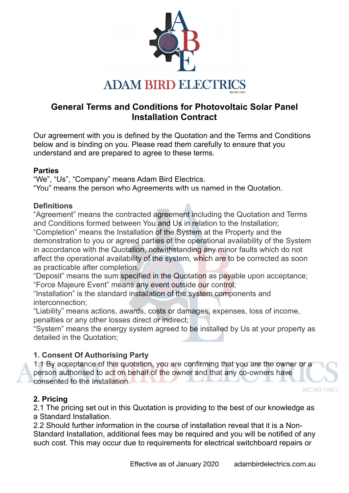

# **General Terms and Conditions for Photovoltaic Solar Panel Installation Contract**

Our agreement with you is defined by the Quotation and the Terms and Conditions below and is binding on you. Please read them carefully to ensure that you understand and are prepared to agree to these terms.

## **Parties**

"We", "Us", "Company" means Adam Bird Electrics. "You" means the person who Agreements with us named in the Quotation.

## **Definitions**

"Agreement" means the contracted agreement including the Quotation and Terms and Conditions formed between You and Us in relation to the Installation; "Completion" means the Installation of the System at the Property and the demonstration to you or agreed parties of the operational availability of the System in accordance with the Quotation, notwithstanding any minor faults which do not affect the operational availability of the system, which are to be corrected as soon as practicable after completion.

"Deposit" means the sum specified in the Quotation as payable upon acceptance; "Force Majeure Event" means any event outside our control;

"Installation" is the standard installation of the system components and interconnection;

"Liability" means actions, awards, costs or damages, expenses, loss of income, penalties or any other losses direct or indirect;

"System" means the energy system agreed to be installed by Us at your property as detailed in the Quotation;

## **1. Consent Of Authorising Party**

1.1 By acceptance of this quotation, you are confirming that you are the owner or a person authorised to act on behalf of the owner and that any co-owners have consented to the Installation.

## **2. Pricing**

2.1 The pricing set out in this Quotation is providing to the best of our knowledge as a Standard Installation.

2.2 Should further information in the course of installation reveal that it is a Non-Standard Installation, additional fees may be required and you will be notified of any such cost. This may occur due to requirements for electrical switchboard repairs or

REC NO: 176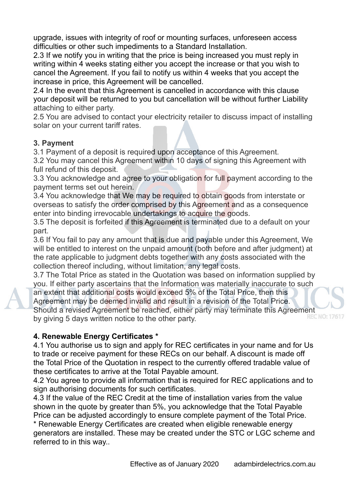upgrade, issues with integrity of roof or mounting surfaces, unforeseen access difficulties or other such impediments to a Standard Installation.

2.3 If we notify you in writing that the price is being increased you must reply in writing within 4 weeks stating either you accept the increase or that you wish to cancel the Agreement. If you fail to notify us within 4 weeks that you accept the increase in price, this Agreement will be cancelled.

2.4 In the event that this Agreement is cancelled in accordance with this clause your deposit will be returned to you but cancellation will be without further Liability attaching to either party.

2.5 You are advised to contact your electricity retailer to discuss impact of installing solar on your current tariff rates.

## **3. Payment**

3.1 Payment of a deposit is required upon acceptance of this Agreement.

3.2 You may cancel this Agreement within 10 days of signing this Agreement with full refund of this deposit.

3.3 You acknowledge and agree to your obligation for full payment according to the payment terms set out herein.

3.4 You acknowledge that We may be required to obtain goods from interstate or overseas to satisfy the order comprised by this Agreement and as a consequence enter into binding irrevocable undertakings to acquire the goods.

3.5 The deposit is forfeited if this Agreement is terminated due to a default on your part.

3.6 If You fail to pay any amount that is due and payable under this Agreement, We will be entitled to interest on the unpaid amount (both before and after judgment) at the rate applicable to judgment debts together with any costs associated with the collection thereof including, without limitation, any legal costs.

3.7 The Total Price as stated in the Quotation was based on information supplied by you. If either party ascertains that the Information was materially inaccurate to such an extent that additional costs would exceed 5% of the Total Price, then this Agreement may be deemed invalid and result in a revision of the Total Price. Should a revised Agreement be reached, either party may terminate this Agreement by giving 5 days written notice to the other party.

# **4. Renewable Energy Certificates \***

4.1 You authorise us to sign and apply for REC certificates in your name and for Us to trade or receive payment for these RECs on our behalf. A discount is made off the Total Price of the Quotation in respect to the currently offered tradable value of these certificates to arrive at the Total Payable amount.

4.2 You agree to provide all information that is required for REC applications and to sign authorising documents for such certificates.

4.3 If the value of the REC Credit at the time of installation varies from the value shown in the quote by greater than 5%, you acknowledge that the Total Payable Price can be adjusted accordingly to ensure complete payment of the Total Price.

\* Renewable Energy Certificates are created when eligible renewable energy generators are installed. These may be created under the STC or LGC scheme and referred to in this way..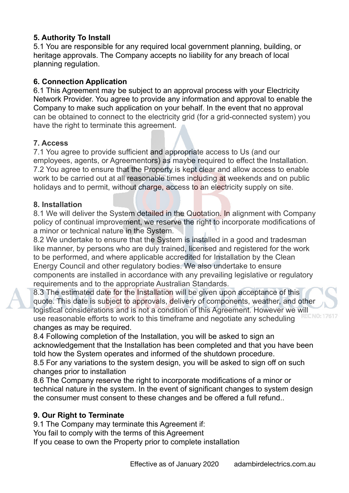## **5. Authority To Install**

5.1 You are responsible for any required local government planning, building, or heritage approvals. The Company accepts no liability for any breach of local planning regulation.

## **6. Connection Application**

6.1 This Agreement may be subject to an approval process with your Electricity Network Provider. You agree to provide any information and approval to enable the Company to make such application on your behalf. In the event that no approval can be obtained to connect to the electricity grid (for a grid-connected system) you have the right to terminate this agreement.

## **7. Access**

7.1 You agree to provide sufficient and appropriate access to Us (and our employees, agents, or Agreementors) as maybe required to effect the Installation. 7.2 You agree to ensure that the Property is kept clear and allow access to enable work to be carried out at all reasonable times including at weekends and on public holidays and to permit, without charge, access to an electricity supply on site.

#### **8. Installation**

8.1 We will deliver the System detailed in the Quotation. In alignment with Company policy of continual improvement, we reserve the right to incorporate modifications of a minor or technical nature in the System.

8.2 We undertake to ensure that the System is installed in a good and tradesman like manner, by persons who are duly trained, licensed and registered for the work to be performed, and where applicable accredited for Installation by the Clean Energy Council and other regulatory bodies. We also undertake to ensure components are installed in accordance with any prevailing legislative or regulatory requirements and to the appropriate Australian Standards.

8.3 The estimated date for the Installation will be given upon acceptance of this quote. This date is subject to approvals, delivery of components, weather, and other logistical considerations and is not a condition of this Agreement. However we will use reasonable efforts to work to this timeframe and negotiate any scheduling changes as may be required.

8.4 Following completion of the Installation, you will be asked to sign an acknowledgement that the Installation has been completed and that you have been told how the System operates and informed of the shutdown procedure.

8.5 For any variations to the system design, you will be asked to sign off on such changes prior to installation

8.6 The Company reserve the right to incorporate modifications of a minor or technical nature in the system. In the event of significant changes to system design the consumer must consent to these changes and be offered a full refund..

## **9. Our Right to Terminate**

9.1 The Company may terminate this Agreement if:

You fail to comply with the terms of this Agreement

If you cease to own the Property prior to complete installation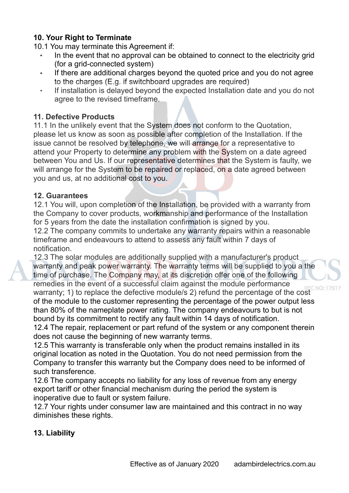## **10. Your Right to Terminate**

10.1 You may terminate this Agreement if:

- In the event that no approval can be obtained to connect to the electricity grid (for a grid-connected system)
- If there are additional charges beyond the quoted price and you do not agree to the charges (E.g. if switchboard upgrades are required)
- If installation is delayed beyond the expected Installation date and you do not agree to the revised timeframe.

#### **11. Defective Products**

11.1 In the unlikely event that the System does not conform to the Quotation, please let us know as soon as possible after completion of the Installation. If the issue cannot be resolved by telephone, we will arrange for a representative to attend your Property to determine any problem with the System on a date agreed between You and Us. If our representative determines that the System is faulty, we will arrange for the System to be repaired or replaced, on a date agreed between you and us, at no additional cost to you.

#### **12. Guarantees**

12.1 You will, upon completion of the Installation, be provided with a warranty from the Company to cover products, workmanship and performance of the Installation for 5 years from the date the installation confirmation is signed by you.

12.2 The company commits to undertake any warranty repairs within a reasonable timeframe and endeavours to attend to assess any fault within 7 days of notification.

12.3 The solar modules are additionally supplied with a manufacturer's product warranty and peak power warranty. The warranty terms will be supplied to you a the time of purchase. The Company may, at its discretion offer one of the following remedies in the event of a successful claim against the module performance warranty; 1) to replace the defective module/s 2) refund the percentage of the cost of the module to the customer representing the percentage of the power output less than 80% of the nameplate power rating. The company endeavours to but is not bound by its commitment to rectify any fault within 14 days of notification.

12.4 The repair, replacement or part refund of the system or any component therein does not cause the beginning of new warranty terms.

12.5 This warranty is transferable only when the product remains installed in its original location as noted in the Quotation. You do not need permission from the Company to transfer this warranty but the Company does need to be informed of such transference.

12.6 The company accepts no liability for any loss of revenue from any energy export tariff or other financial mechanism during the period the system is inoperative due to fault or system failure.

12.7 Your rights under consumer law are maintained and this contract in no way diminishes these rights.

## **13. Liability**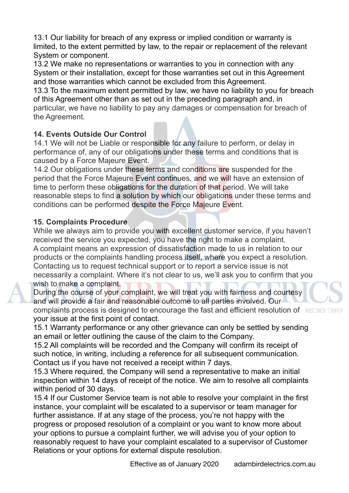13.1 Our liability for breach of any express or implied condition or warranty is limited, to the extent permitted by law, to the repair or replacement of the relevant System or component.

13.2 We make no representations or warranties to you in connection with any System or their installation, except for those warranties set out in this Agreement and those warranties which cannot be excluded from this Agreement.

13.3 To the maximum extent permitted by law, we have no liability to you for breach of this Agreement other than as set out in the preceding paragraph and, in particular, we have no liability to pay any damages or compensation for breach of the Agreement.

## **14. Events Outside Our Control**

14.1 We will not be Liable or responsible for any failure to perform, or delay in performance of, any of our obligations under these terms and conditions that is caused by a Force Majeure Event.

14.2 Our obligations under these terms and conditions are suspended for the period that the Force Majeure Event continues, and we will have an extension of time to perform these obligations for the duration of that period. We will take reasonable steps to find a solution by which our obligations under these terms and conditions can be performed despite the Force Majeure Event.

# **15. Complaints Procedure**

While we always aim to provide you with excellent customer service, if you haven't received the service you expected, you have the right to make a complaint. A complaint means an expression of dissatisfaction made to us in relation to our products or the complaints handling process itself, where you expect a resolution. Contacting us to request technical support or to report a service issue is not necessarily a complaint. Where it's not clear to us, we'll ask you to confirm that you wish to make a complaint.

During the course of your complaint, we will treat you with fairness and courtesy and will provide a fair and reasonable outcome to all parties involved. Our complaints process is designed to encourage the fast and efficient resolution of your issue at the first point of contact.

15.1 Warranty performance or any other grievance can only be settled by sending an email or letter outlining the cause of the claim to the Company.

15.2 All complaints will be recorded and the Company will confirm its receipt of such notice, in writing, including a reference for all subsequent communication. Contact us if you have not received a receipt within 7 days.

15.3 Where required, the Company will send a representative to make an initial inspection within 14 days of receipt of the notice. We aim to resolve all complaints within period of 30 days.

15.4 If our Customer Service team is not able to resolve your complaint in the first instance, your complaint will be escalated to a supervisor or team manager for further assistance. If at any stage of the process, you're not happy with the progress or proposed resolution of a complaint or you want to know more about your options to pursue a complaint further, we will advise you of your option to reasonably request to have your complaint escalated to a supervisor of Customer Relations or your options for external dispute resolution.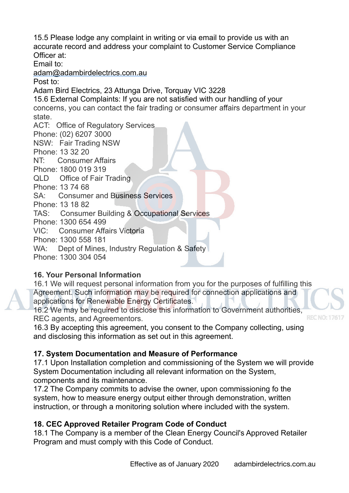15.5 Please lodge any complaint in writing or via email to provide us with an accurate record and address your complaint to Customer Service Compliance Officer at:

Email to:

[adam@adambirdelectrics.com.au](mailto:adam@adambirdelectrics.com.au)

Post to:

Adam Bird Electrics, 23 Attunga Drive, Torquay VIC 3228

15.6 External Complaints: If you are not satisfied with our handling of your concerns, you can contact the fair trading or consumer affairs department in your state.

ACT: Office of Regulatory Services

Phone: (02) 6207 3000

NSW: Fair Trading NSW

Phone: 13 32 20

NT: Consumer Affairs

Phone: 1800 019 319

QLD Office of Fair Trading

Phone: 13 74 68

SA: Consumer and Business Services

Phone: 13 18 82

TAS: Consumer Building & Occupational Services

Phone: 1300 654 499

VIC: Consumer Affairs Victoria

Phone: 1300 558 181

WA: Dept of Mines, Industry Regulation & Safety

Phone: 1300 304 054

# **16. Your Personal Information**

16.1 We will request personal information from you for the purposes of fulfilling this Agreement. Such information may be required for connection applications and applications for Renewable Energy Certificates.

16.2 We may be required to disclose this information to Government authorities, REC agents, and Agreementors.

16.3 By accepting this agreement, you consent to the Company collecting, using and disclosing this information as set out in this agreement.

# **17. System Documentation and Measure of Performance**

17.1 Upon Installation completion and commissioning of the System we will provide System Documentation including all relevant information on the System, components and its maintenance.

17.2 The Company commits to advise the owner, upon commissioning fo the system, how to measure energy output either through demonstration, written instruction, or through a monitoring solution where included with the system.

# **18. CEC Approved Retailer Program Code of Conduct**

18.1 The Company is a member of the Clean Energy Council's Approved Retailer Program and must comply with this Code of Conduct.

**RECNO:**